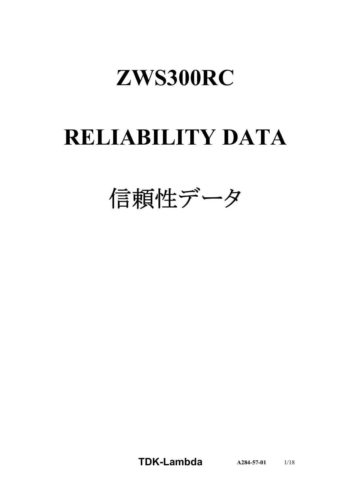# **ZWS300RC**

# **RELIABILITY DATA**

信頼性データ

**TDK-Lambda A284-57-01** 1/18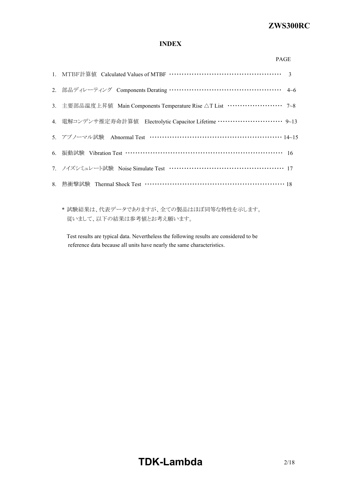#### *ZWS300R* **ZWS300RC**

### **INDEX**

| 2. 部品ディレーティング Components Derating ………………………………………… 4~6                            |  |
|-----------------------------------------------------------------------------------|--|
| 3. 主要部品温度上昇值 Main Components Temperature Rise △T List ······················· 7~8 |  |
| 4. 電解コンデンサ推定寿命計算値 Electrolytic Capacitor Lifetime ………………………… 9~13                 |  |
| 5. アブノーマル試験 Abnormal Test …………………………………………………… 14~15                              |  |
| 6. 振動試験 Vibration Test …………………………………………………………… 16                                 |  |
| 7. ノイズシミュレート試験 Noise Simulate Test …………………………………………… 17                           |  |
|                                                                                   |  |
|                                                                                   |  |

\* 試験結果は、代表データでありますが、全ての製品はほぼ同等な特性を示します。 従いまして、以下の結果は参考値とお考え願います。

Test results are typical data. Nevertheless the following results are considered to be reference data because all units have nearly the same characteristics.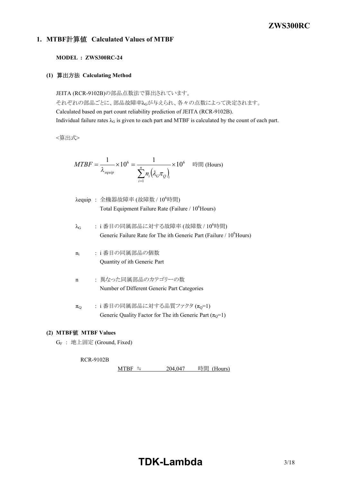### *RWS 50B-600B Series* **ZWS300RC**

### **1. MTBF**計算値 **Calculated Values of MTBF**

### **MODEL : ZWS300RC-24**

### **(1)** 算出方法 **Calculating Method**

JEITA (RCR-9102B)の部品点数法で算出されています。 それぞれの部品ごとに、部品故障率λGが与えられ、各々の点数によって決定されます。 Calculated based on part count reliability prediction of JEITA (RCR-9102B). Individual failure rates  $\lambda_G$  is given to each part and MTBF is calculated by the count of each part.

<算出式>

$$
MTBF = \frac{1}{\lambda_{\text{equip}}} \times 10^6 = \frac{1}{\sum_{i=1}^n n_i (\lambda_{\text{c}} \pi_{\text{Q}})_i} \times 10^6 \quad \text{iff} \quad \text{(Hours)}
$$

- $\lambda$ equip : 全機器故障率 (故障数 /  $10^6$ 時間) Total Equipment Failure Rate (Failure / 10<sup>6</sup>Hours)
- $\lambda_G$  : i番目の同属部品に対する故障率 (故障数 / 10<sup>6</sup>時間) Generic Failure Rate for The ith Generic Part (Failure / 10<sup>6</sup>Hours)
- $n_i$ : i 番目の同属部品の個数 Quantity of ith Generic Part
- n : 異なった同属部品のカテゴリーの数 Number of Different Generic Part Categories
- $\pi_{\Omega}$  : i 番目の同属部品に対する品質ファクタ  $(\pi_{\Omega} = 1)$ Generic Quality Factor for The ith Generic Part  $(\pi_0=1)$

#### **(2) MTBF**値 **MTBF Values**

G<sup>F</sup> : 地上固定 (Ground, Fixed)

#### RCR-9102B

MTBF ≒  $204,047$  時間 (Hours)

### **TDK-Lambda** 3/18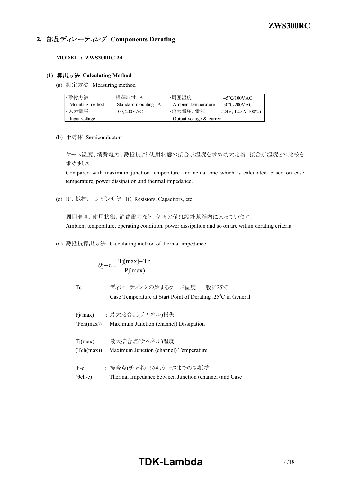### **2.** 部品ディレーティング **Components Derating**

#### **MODEL : ZWS300RC-24**

### **(1)** 算出方法 **Calculating Method**

(a) 測定方法 Measuring method

| ・取付方法           | :標準取付 : A             | ・周囲温度                    | :45°C/100VAC          |
|-----------------|-----------------------|--------------------------|-----------------------|
| Mounting method | Standard mounting : A | Ambient temperature      | : 50°C/200VAC         |
| ・入力電圧           | $: 100, 200$ VAC      | ・出力電圧、電流                 | $: 24V, 12.5A(100\%)$ |
| Input voltage   |                       | Output voltage & current |                       |

(b) 半導体 Semiconductors

ケース温度、消費電力、熱抵抗より使用状態の接合点温度を求め最大定格、接合点温度との比較を 求めました。

Compared with maximum junction temperature and actual one which is calculated based on case temperature, power dissipation and thermal impedance.

(c) IC、抵抗、コンデンサ等 IC, Resistors, Capacitors, etc.

周囲温度、使用状態、消費電力など、個々の値は設計基準内に入っています。 Ambient temperature, operating condition, power dissipation and so on are within derating criteria.

(d) 熱抵抗算出方法 Calculating method of thermal impedance

$$
\theta j - c = \frac{Tj(max) - Tc}{Pj(max)}
$$

- 
- Tc : ディレーティングの始まるケース温度 一般に25°C

Case Temperature at Start Point of Derating;  $25^{\circ}$ C in General

Pj(max) : 最大接合点(チャネル)損失 (Pch(max)) Maximum Junction (channel) Dissipation Tj(max) : 最大接合点(チャネル)温度 (Tch(max)) Maximum Junction (channel) Temperature θj-c : 接合点(チャネル)からケースまでの熱抵抗 (θch-c) Thermal Impedance between Junction (channel) and Case

### **TDK-Lambda**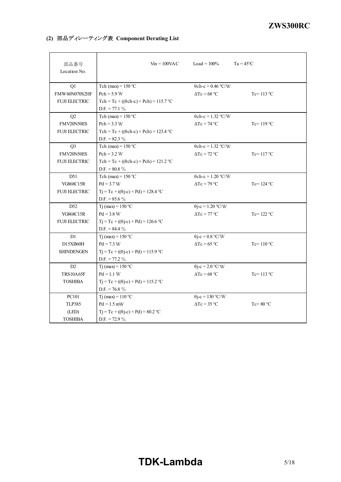#### *ZWS300R* **ZWS300RC**

### **(2)** 部品ディレーティング表 **Component Derating List**

| 部品番号<br>Location No. | $V_{in} = 100$ VAC                                 | Load = $100\%$            | $Ta = 45^{\circ}C$  |
|----------------------|----------------------------------------------------|---------------------------|---------------------|
| Q1                   | Tch (max) = $150 °C$                               | $\theta$ ch-c = 0.46 °C/W |                     |
| <b>FMW60N070S2HF</b> | $Pch = 5.9 W$                                      | $\Delta Tc = 68 °C$       | Tc= $113$ °C        |
| <b>FUJI ELECTRIC</b> | Tch = Tc + $((\theta ch-c) \times Pch)$ = 115.7 °C |                           |                     |
|                      | $D.F. = 77.1 \%$                                   |                           |                     |
| Q2                   | Tch (max) = $150$ °C                               | $\theta$ ch-c = 1.32 °C/W |                     |
| FMV20N50ES           | $Pch = 3.3 W$                                      | $\Delta Tc = 74$ °C       | Tc= $119^{\circ}$ C |
| <b>FUJI ELECTRIC</b> | Tch = Tc + (( $\theta$ ch-c) × Pch) = 123.4 °C     |                           |                     |
|                      | D.F. = $82.3\%$                                    |                           |                     |
| Q <sub>3</sub>       | Tch (max) = $150 °C$                               | $\theta$ ch-c = 1.32 °C/W |                     |
| FMV20N50ES           | $Pch = 3.2 W$                                      | $\Delta Tc = 72$ °C       | $Tc=117$ °C         |
| <b>FUJI ELECTRIC</b> | Tch = Tc + $((\theta ch-c) \times Pch)$ = 121.2 °C |                           |                     |
|                      | D.F. = $80.8\%$                                    |                           |                     |
| D51                  | Tch (max) = $150 °C$                               | $\theta$ ch-c = 1.20 °C/W |                     |
| YG868C15R            | $Pd = 3.7 W$                                       | $\Delta Tc = 79$ °C       | Tc= $124$ °C        |
| <b>FUJI ELECTRIC</b> | $Tj = Tc + ((\theta j - c) \times Pd) = 128.4$ °C  |                           |                     |
|                      | D.F. = $85.6\%$                                    |                           |                     |
| D <sub>52</sub>      | Tj (max) = $150 °C$                                | $\theta$ j-c = 1.20 °C/W  |                     |
| YG868C15R            | $Pd = 3.8 W$                                       | $\Delta Tc = 77$ °C       | Tc= $122 °C$        |
| <b>FUJI ELECTRIC</b> | $Tj = Tc + ((\theta j - c) \times Pd) = 126.6$ °C  |                           |                     |
|                      | D.F. = $84.4\%$                                    |                           |                     |
| D1                   | T <sub>j</sub> (max) = $150 °C$                    | $\theta$ j-c = 0.8 °C/W   |                     |
| D15XB60H             | $Pd = 7.3 W$                                       | $\Delta Tc = 65$ °C       | Tc= $110^{\circ}$ C |
| <b>SHINDENGEN</b>    | $Tj = Tc + ((\theta j - c) \times Pd) = 115.9$ °C  |                           |                     |
|                      | $D.F. = 77.2 \%$                                   |                           |                     |
| D2                   | T <sub>j</sub> (max) = $150 °C$                    | $\theta$ j-c = 2.0 °C/W   |                     |
| <b>TRS10A65F</b>     | $Pd = 1.1 W$                                       | $\Delta Tc = 68$ °C       | $Tc = 113$ °C       |
| <b>TOSHIBA</b>       | $Tj = Tc + ((\theta j - c) \times Pd) = 115.2$ °C  |                           |                     |
|                      | D.F. = 76.8 $\%$                                   |                           |                     |
| PC101                | Tj (max) = $110 °C$                                | $\theta$ j-c = 130 °C/W   |                     |
| <b>TLP385</b>        | $Pd = 1.5$ mW                                      | $\Delta Tc = 35$ °C       | $Tc = 80 °C$        |
| (LED)                | $Tj = Tc + ((\theta j-c) \times Pd) = 80.2$ °C     |                           |                     |
| <b>TOSHIBA</b>       | D.F. = 72.9 $\%$                                   |                           |                     |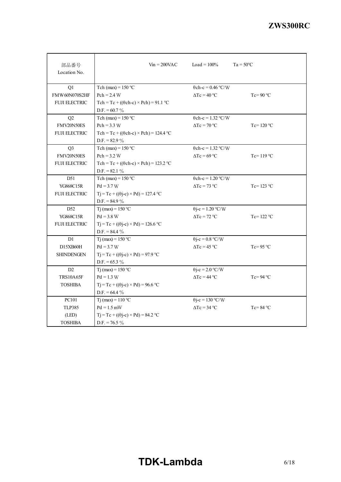| 部品番号<br>Location No. | $V_{in} = 200$ VAC                                 | Load = $100\%$              | $Ta = 50^{\circ}C$  |
|----------------------|----------------------------------------------------|-----------------------------|---------------------|
| Q1                   | Tch (max) = $150 °C$                               | $\theta$ ch-c = 0.46 °C/W   |                     |
| <b>FMW60N070S2HF</b> | $Pch = 2.4 W$                                      | $\Delta Tc = 40 °C$         | Tc=90 $\degree$ C   |
| <b>FUJI ELECTRIC</b> | Tch = Tc + $((\theta ch-c) \times Pch)$ = 91.1 °C  |                             |                     |
|                      | D.F. = $60.7\%$                                    |                             |                     |
| Q2                   | Tch (max) = $150 °C$                               | $\theta$ ch-c = 1.32 °C/W   |                     |
| FMV20N50ES           | $Pch = 3.3 W$                                      | $\Delta Tc = 70 °C$         | Tc= $120 °C$        |
| <b>FUJI ELECTRIC</b> | Tch = Tc + $((\theta ch-c) \times Pch)$ = 124.4 °C |                             |                     |
|                      | D.F. = $82.9\%$                                    |                             |                     |
| Q <sub>3</sub>       | Tch (max) = $150$ °C                               | $\theta$ ch-c = 1.32 °C/W   |                     |
| FMV20N50ES           | $Pch = 3.2 W$                                      | $\Delta Tc = 69$ °C         | Tc= $119^{\circ}$ C |
| <b>FUJI ELECTRIC</b> | Tch = Tc + $((\theta ch-c) \times Pch)$ = 123.2 °C |                             |                     |
|                      | D.F. = $82.1\%$                                    |                             |                     |
| D51                  | Tch (max) = $150 °C$                               | $\theta$ ch-c = 1.20 °C/W   |                     |
| YG868C15R            | $Pd = 3.7 W$                                       | $\Delta Tc = 73$ °C         | Tc= $123$ °C        |
| <b>FUJI ELECTRIC</b> | $Tj = Tc + ((\theta j - c) \times Pd) = 127.4$ °C  |                             |                     |
|                      | D.F. = $84.9\%$                                    |                             |                     |
| D <sub>52</sub>      | $Ti$ (max) = 150 °C                                | $\theta$ j-c = 1.20 °C/W    |                     |
| YG868C15R            | $Pd = 3.8 W$                                       | $\Delta T_c = 72 \degree C$ | Tc= $122 °C$        |
| <b>FUJI ELECTRIC</b> | $Tj = Tc + ((\theta j - c) \times Pd) = 126.6$ °C  |                             |                     |
|                      | D.F. = $84.4\%$                                    |                             |                     |
| D1                   | $Ti$ (max) = 150 °C                                | $\theta$ j-c = 0.8 °C/W     |                     |
| D15XB60H             | $Pd = 3.7 W$                                       | $\Delta T_c = 45 \degree C$ | Tc=95 $\degree$ C   |
| <b>SHINDENGEN</b>    | $Tj = Tc + ((\theta j - c) \times Pd) = 97.9$ °C   |                             |                     |
|                      | $D.F. = 65.3 \%$                                   |                             |                     |
| D2                   | $Tj$ (max) = 150 °C                                | $\theta$ j-c = 2.0 °C/W     |                     |
| <b>TRS10A65F</b>     | $Pd = 1.3 W$                                       | $\Delta Tc = 44$ °C         | $Tc = 94 °C$        |
| <b>TOSHIBA</b>       | $Tj = Tc + ((\theta j - c) \times Pd) = 96.6$ °C   |                             |                     |
|                      | D.F. = $64.4\%$                                    |                             |                     |
| <b>PC101</b>         | $Tj$ (max) = 110 °C                                | $\theta$ j-c = 130 °C/W     |                     |
| <b>TLP385</b>        | $Pd = 1.5$ mW                                      | $\Delta Tc = 34 \degree C$  | $Tc = 84 °C$        |
| (LED)                | $Tj = Tc + ((\theta j - c) \times Pd) = 84.2$ °C   |                             |                     |
| <b>TOSHIBA</b>       | D.F. = 76.5 $\%$                                   |                             |                     |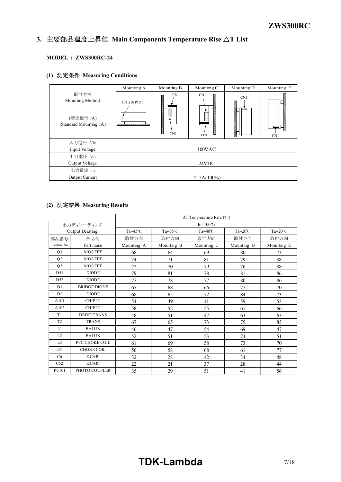#### *INSTRUCTION MANUAL* **3.** 主要部品温度上昇値 **Main Components Temperature Rise** △**T List**

### **MODEL : ZWS300RC-24**

### **(1)** 測定条件 **Measuring Conditions**

|                                                               | Mounting A                                        | Mounting B                | Mounting C             | Mounting D | Mounting E |
|---------------------------------------------------------------|---------------------------------------------------|---------------------------|------------------------|------------|------------|
| 取付方法<br>Mounting Method<br>(標準取付:A)<br>(Standard Mounting: A) | CN1(INPUT)<br><b><i>MARKERSONAL MARKETING</i></b> | <b>FIN</b><br>5555<br>CN1 | CN1<br>š<br><b>FIN</b> | CN1        | CN1        |
| 入力電圧 Vin                                                      |                                                   |                           |                        |            |            |
| Input Voltage                                                 |                                                   |                           | 100VAC                 |            |            |
| 出力電圧 Vo                                                       |                                                   |                           |                        |            |            |
| Output Voltage                                                |                                                   |                           | 24VDC                  |            |            |
| 出力電流 Io                                                       |                                                   |                           |                        |            |            |
| Output Current                                                |                                                   |                           | $12.5A(100\%)$         |            |            |

### **(2)** 測定結果 **Measuring Results**

|                 |                        | $\Delta T$ Temperature Rise (°C) |                  |                  |                  |                  |
|-----------------|------------------------|----------------------------------|------------------|------------------|------------------|------------------|
|                 | 出力ディレーティング             |                                  |                  | $Io = 100\%$     |                  |                  |
|                 | <b>Output Derating</b> | $Ta=45^{\circ}C$                 | $Ta=35^{\circ}C$ | $Ta=40^{\circ}C$ | $Ta=20^{\circ}C$ | $Ta=20^{\circ}C$ |
| 部品番号            | 部品名                    | 取付方向                             | 取付方向             | 取付方向             | 取付方向             | 取付方向             |
| Location No.    | Part name              | Mounting A                       | Mounting B       | Mounting C       | Mounting D       | Mounting E       |
| Q1              | <b>MOSFET</b>          | 68                               | 64               | 69               | 80               | 73               |
| Q <sub>2</sub>  | <b>MOSFET</b>          | 74                               | 71               | 81               | 79               | 88               |
| Q <sub>3</sub>  | <b>MOSFET</b>          | 72                               | 70               | 79               | 76               | 88               |
| D51             | <b>DIODE</b>           | 79                               | 81               | 78               | 81               | 86               |
| D <sub>52</sub> | <b>DIODE</b>           | 77                               | 78               | 77               | 80               | 86               |
| D <sub>1</sub>  | <b>BRIDGE DIODE</b>    | 65                               | 68               | 66               | 77               | 70               |
| D2              | <b>DIODE</b>           | 68                               | 65               | 72               | 84               | 73               |
| A101            | CHIP IC                | 54                               | 49               | 41               | 59               | 53               |
| A102            | CHIP IC                | 58                               | 52               | 55               | 61               | 66               |
| T1              | <b>DRIVE TRANS</b>     | 48                               | 51               | 47               | 63               | 63               |
| T <sub>2</sub>  | <b>TRANS</b>           | 67                               | 65               | 73               | 75               | 83               |
| L1              | <b>BALUN</b>           | 46                               | 47               | 54               | 69               | 47               |
| L2              | <b>BALUN</b>           | 52                               | 51               | 53               | 74               | 51               |
| L <sub>3</sub>  | PFC CHOKE COIL         | 61                               | 69               | 58               | 73               | 70               |
| L51             | <b>CHOKE COIL</b>      | 56                               | 58               | 68               | 61               | 77               |
| C6              | E.CAP.                 | 32                               | 28               | 42               | 34               | 48               |
| C52             | E.CAP.                 | 22                               | 21               | 37               | 28               | 44               |
| PC101           | PHOTO COUPLER          | 35                               | 29               | 51               | 41               | 56               |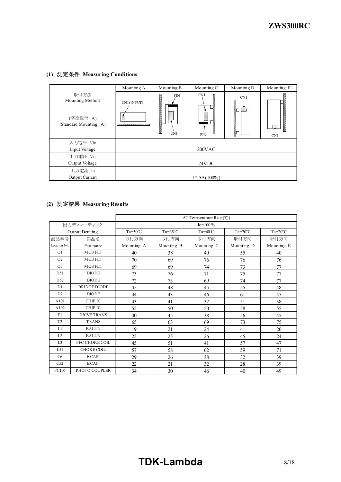### **(1)** 測定条件 **Measuring Conditions**

|                                                               | Mounting A                               | Mounting B                            | Mounting C                    | Mounting D   | Mounting E |
|---------------------------------------------------------------|------------------------------------------|---------------------------------------|-------------------------------|--------------|------------|
| 取付方法<br>Mounting Method<br>(標準取付:A)<br>(Standard Mounting: A) | CN1(INPUT)<br><b>WARRANGARANGAN MARA</b> | <b>FIN</b><br>333333<br>333333<br>CN1 | CN1<br>Ğ,<br>F.<br><b>FIN</b> | CN1<br>aaaaa | CN1        |
| 入力電圧 Vin                                                      |                                          |                                       |                               |              |            |
| Input Voltage                                                 |                                          |                                       | 200VAC                        |              |            |
| 出力電圧 Vo                                                       |                                          |                                       |                               |              |            |
| Output Voltage                                                |                                          |                                       | 24VDC                         |              |            |
| 出力電流 Io                                                       |                                          |                                       |                               |              |            |
| Output Current                                                |                                          |                                       | $12.5A(100\%)$                |              |            |

### **(2)** 測定結果 **Measuring Results**

|                 |                     | $\Delta T$ Temperature Rise (°C) |                  |                  |                  |                  |
|-----------------|---------------------|----------------------------------|------------------|------------------|------------------|------------------|
|                 | 出力ディレーティング          |                                  |                  | $Io = 100\%$     |                  |                  |
|                 | Output Derating     | $Ta = 50^{\circ}C$               | $Ta=35^{\circ}C$ | $Ta=40^{\circ}C$ | $Ta=20^{\circ}C$ | $Ta=20^{\circ}C$ |
| 部品番号            | 部品名                 | 取付方向                             | 取付方向             | 取付方向             | 取付方向             | 取付方向             |
| Location No.    | Part name           | Mounting A                       | Mounting B       | Mounting C       | Mounting D       | Mounting E       |
| Q1              | <b>MOSFET</b>       | 40                               | 38               | 40               | 55               | 40               |
| Q2              | <b>MOSFET</b>       | 70                               | 69               | 76               | 76               | 76               |
| Q <sub>3</sub>  | <b>MOSFET</b>       | 69                               | 69               | 74               | 73               | 77               |
| D51             | <b>DIODE</b>        | 73                               | 76               | 71               | 75               | 77               |
| D <sub>52</sub> | <b>DIODE</b>        | 72                               | 73               | 69               | 74               | 77               |
| D1              | <b>BRIDGE DIODE</b> | 45                               | 48               | 45               | 55               | 48               |
| D <sub>2</sub>  | <b>DIODE</b>        | 44                               | 43               | 46               | 61               | 45               |
| A101            | CHIP IC             | 43                               | 41               | 32               | 51               | 38               |
| A102            | CHIP IC             | 55                               | 50               | 50               | 58               | 55               |
| T1              | <b>DRIVE TRANS</b>  | 40                               | 45               | 38               | 56               | 45               |
| T <sub>2</sub>  | <b>TRANS</b>        | 65                               | 63               | 69               | 73               | 75               |
| L1              | <b>BALUN</b>        | 19                               | 21               | 24               | 41               | 20               |
| L2              | <b>BALUN</b>        | 25                               | 25               | 26               | 45               | 24               |
| L <sub>3</sub>  | PFC CHOKE COIL      | 45                               | 51               | 41               | 57               | 47               |
| L <sub>51</sub> | <b>CHOKE COIL</b>   | 57                               | 58               | 62               | 59               | 71               |
| C6              | E.CAP.              | 29                               | 26               | 38               | 32               | 39               |
| C52             | E.CAP.              | 22                               | 21               | 32               | 28               | 39               |
| PC101           | PHOTO COUPLER       | 34                               | 30               | 46               | 40               | 49               |

## **TDK-Lambda** 8/18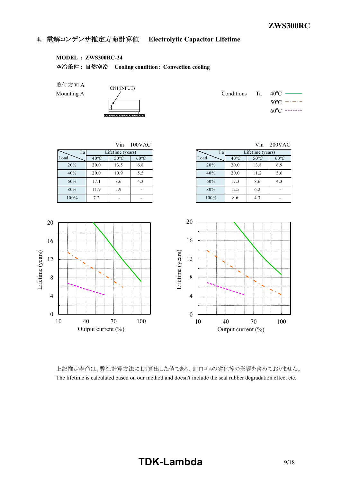### **4.** 電解コンデンサ推定寿命計算値 **Electrolytic Capacitor Lifetime**

### **MODEL : ZWS300RC-24**

空冷条件 **:** 自然空冷 **Cooling condition: Convection cooling**

取付方向 A

CN1(INPUT) <u>saamamamadan</u>

Mounting A  $\angle$   $\angle$  Conditions Ta 40<sup>o</sup>C –  $50^{\circ}$ C  $60^{\circ}$ C -------



上記推定寿命は、弊社計算方法により算出した値であり、封口ゴムの劣化等の影響を含めておりません。 The lifetime is calculated based on our method and doesn't include the seal rubber degradation effect etc.

### **TDK-Lambda** 9/18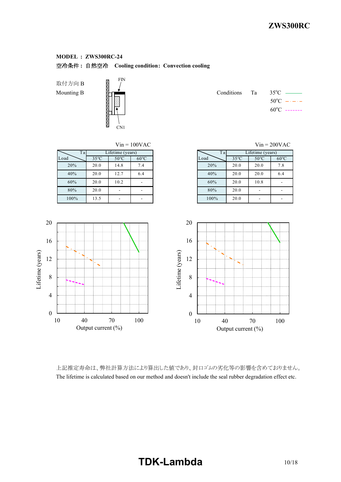取付方向 B Mounting B

Lifetime (years)

Lifetime (years)



|  | Conditions Ta $35^{\circ}$ C — |
|--|--------------------------------|
|  | $50^{\circ}$ C $   -$          |
|  | $60^{\circ}$ C -------         |

|      |                |                  | $Vin = 100VAC$ |
|------|----------------|------------------|----------------|
| Tal  |                | Lifetime (years) |                |
| Load | $35^{\circ}$ C | $50^{\circ}$ C   | $60^{\circ}$ C |
| 20%  | 20.0           | 14.8             | 7.4            |
| 40%  | 20.0           | 12.7             | 6.4            |
| 60%  | 20.0           | 10.2             |                |
| 80%  | 20.0           |                  |                |
| 100% | 13.5           |                  |                |

|      |                |                  | $Vin = 100VAC$ |      |                | $V$ in = 200VAC  |
|------|----------------|------------------|----------------|------|----------------|------------------|
| Ta   |                | Lifetime (years) |                |      | T a            | Lifetime (years) |
|      | $35^{\circ}$ C | $50^{\circ}$ C   | $60^{\circ}$ C | Load | $35^{\circ}$ C | $50^{\circ}$ C   |
| 20%  | 20.0           | 14.8             | 7.4            | 20%  | 20.0           | 20.0             |
|      | 20.0           | 12.7             | 6.4            | 40%  | 20.0           | 20.0             |
| 60%  | 20.0           | 10.2             |                | 60%  | 20.0           | 10.8             |
| 80%  | 20.0           |                  |                | 80%  | 20.0           |                  |
| 100% | 13.5           | ۰                |                | 100% | 20.0           |                  |



上記推定寿命は、弊社計算方法により算出した値であり、封口ゴムの劣化等の影響を含めておりません。 The lifetime is calculated based on our method and doesn't include the seal rubber degradation effect etc.

### **TDK-Lambda** 10/18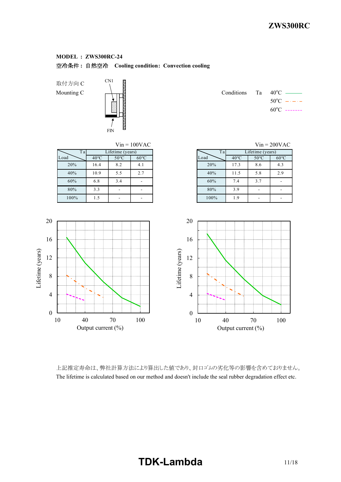取付方向 C



Mounting C  $\leftarrow$   $\leftarrow$   $\leftarrow$   $\leftarrow$  Conditions Ta 40<sup>o</sup>C  $\leftarrow$  $50^{\circ}$ C  $60^{\circ}$ C -------



上記推定寿命は、弊社計算方法により算出した値であり、封口ゴムの劣化等の影響を含めておりません。 The lifetime is calculated based on our method and doesn't include the seal rubber degradation effect etc.

# **TDK-Lambda** 11/18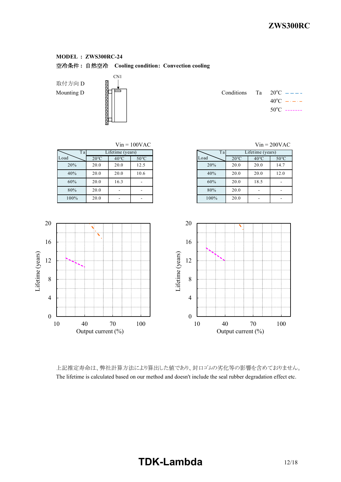取付方向 D 取付方向 D<br>Mounting D<br>Conditions Table

0

4

8

12

Lifetime (years)

Lifetime (years)

16



|  | Conditions Ta $20^{\circ}$ C $=-$ - |
|--|-------------------------------------|
|  | $40^{\circ}$ C $  -$                |
|  | $50^{\circ}$ C -------              |

| Ta <sup>1</sup><br>Load | $20^{\circ}$ C | Lifetime (years)<br>$40^{\circ}$ C | $V$ in = 100VAC<br>$50^{\circ}$ C |    | Ta<br>Load | $20^{\circ}$ C | Lifetime (years)<br>$40^{\circ}$ C | $V$ in = 200 $VA$<br>$50^{\circ}$ C |
|-------------------------|----------------|------------------------------------|-----------------------------------|----|------------|----------------|------------------------------------|-------------------------------------|
| 20%                     | 20.0           | 20.0                               | 12.5                              |    | 20%        | 20.0           | 20.0                               | 14.7                                |
| 40%                     | 20.0           | 20.0                               | 10.6                              |    | 40%        | 20.0           | 20.0                               | 12.0                                |
| 60%                     | 20.0           | 16.3                               |                                   |    | 60%        | 20.0           | 18.5                               | $\overline{\phantom{0}}$            |
| 80%                     | 20.0           |                                    | ۰                                 |    | 80%        | 20.0           | ۰                                  | $\overline{\phantom{0}}$            |
| 100%                    | 20.0           |                                    | $\overline{\phantom{0}}$          |    | 100%       | 20.0           | ٠                                  | $\overline{\phantom{a}}$            |
|                         |                |                                    |                                   |    |            |                |                                    |                                     |
|                         |                |                                    |                                   | 20 |            |                |                                    |                                     |

| $Vin = 100VAC$<br>$V$ in = 200VAC |                |  |      |                |                  |                |  |  |  |  |  |
|-----------------------------------|----------------|--|------|----------------|------------------|----------------|--|--|--|--|--|
| ime (years)                       |                |  | Ta   |                | Lifetime (years) |                |  |  |  |  |  |
| $40^{\circ}$ C                    | $50^{\circ}$ C |  | Load | $20^{\circ}$ C | $40^{\circ}$ C   | $50^{\circ}$ C |  |  |  |  |  |
| 20.0                              | 12.5           |  | 20%  | 20.0           | 20.0             | 14.7           |  |  |  |  |  |
| 20.0                              | 10.6           |  | 40%  | 20.0           | 20.0             | 12.0           |  |  |  |  |  |
| 16.3                              |                |  | 60%  | 20.0           | 18.5             |                |  |  |  |  |  |
|                                   |                |  | 80%  | 20.0           |                  |                |  |  |  |  |  |
|                                   |                |  | 100% | 20.0           |                  |                |  |  |  |  |  |



上記推定寿命は、弊社計算方法により算出した値であり、封口ゴムの劣化等の影響を含めておりません。 The lifetime is calculated based on our method and doesn't include the seal rubber degradation effect etc.

# **TDK-Lambda** 12/18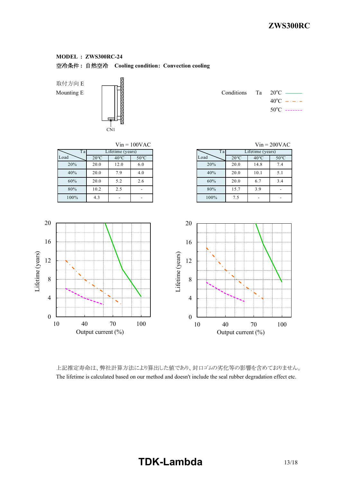取付方向 E



Mounting E  $\|\cdot\|$  $40^{\circ}$ C  $50^{\circ}$ C -------



上記推定寿命は、弊社計算方法により算出した値であり、封口ゴムの劣化等の影響を含めておりません。 The lifetime is calculated based on our method and doesn't include the seal rubber degradation effect etc.

### **TDK-Lambda** 13/18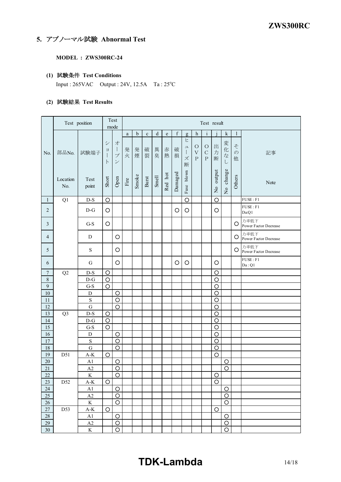### **5.** アブノーマル試験 **Abnormal Test**

**MODEL : ZWS300RC-24**

### **(1)** 試験条件 **Test Conditions**

Input : 265VAC Output : 24V, 12.5A Ta : 25<sup>o</sup>C

### **(2)** 試験結果 **Test Results**

| $\mathbf f$<br>$\mathbf d$<br>$\mathbf{i}$<br>$\mathbf b$<br>$\mathbf{1}$<br>$\mathbf c$<br>$\mathop{\rm e}\nolimits$<br>$\mathbf{h}$<br>$\mathbf{k}$<br>$\rm{a}$<br>g<br>ヒ<br>$\ddot{\checkmark}$<br>変<br>才<br>z<br>出<br>$\circ$<br>$\circ$<br>ユ<br>化<br>$\bigg]$<br>異<br>破<br>破<br>発<br>発<br>赤<br>ヨ<br>$\Big\}$<br>力<br>部品No.<br>$\bar{V}$<br>$\mathcal{C}$<br>$\mathcal{O}$<br>試験端子<br>記事<br>No.<br>煙<br>裂<br>臭<br>火<br>熱<br>$\vec{z}$<br>$\bigg]$<br>$\mathcal{I}^{\circ}$<br>損<br>ズ<br>断<br>$\rm P$<br>${\bf P}$<br>他<br>$\vdash$<br>$\boldsymbol{\mathcal{V}}$<br>$\cup$<br>断<br>change<br>output<br>blown<br>Damaged<br>Red hot<br>Smoke<br>Others<br><b>Smell</b><br>Burst<br>Short<br>Open<br>Location<br>Test<br>$\operatorname{Fire}$<br>Note<br>No.<br>point<br>Fuse<br>$\frac{1}{2}$<br>$\frac{1}{2}$<br>FUSE : F1<br>$\circ$<br>Q1<br>$D-S$<br>$\circ$<br>$\circ$<br>$\mathbf{1}$<br>FUSE : F1<br>$\overline{2}$<br>$D-G$<br>$\circ$<br>$\circ$<br>$\circ$<br>$\circ$<br>Da:Q1<br>力率低下<br>$\circ$<br>$G-S$<br>3<br>O<br>Power Factor Decrease<br>力率低下<br>$\circ$<br>O<br>4<br>D<br><b>Power Factor Decrease</b><br>力率低下<br>S<br>O<br>O<br>5<br><b>Power Factor Decrease</b><br>FUSE : F1<br>G<br>O<br>O<br>$\circ$<br>O<br>6<br>Da:Q1<br>$D-S$<br>$\circ$<br>$\boldsymbol{7}$<br>Q <sub>2</sub><br>$\circ$<br>$\,8\,$<br>$\circ$<br>$\circ$<br>$D-G$<br>$\boldsymbol{9}$<br>$G-S$<br>$\circ$<br>$\circ$<br>$10\,$<br>$\circ$<br>$\circ$<br>$\mathbf D$<br>$\circ$<br>$\mathbf S$<br>$\circ$<br>11<br>$\circ$<br>$\circ$<br>12<br>$\mathbf G$<br>13<br>$\circ$<br>Q <sub>3</sub><br>$D-S$<br>$\circ$<br>14<br>$\circ$<br>$D-G$<br>$\circ$<br>15<br>$\bigcirc$<br>$\circ$<br>$G-S$<br>16<br>$\circ$<br>D<br>O<br>17<br>$\circ$<br>$\circ$<br>${\bf S}$<br>18<br>$\mathbf G$<br>$\circ$<br>$\circ$<br>D51<br>19<br>$A-K$<br>$\circ$<br>$\circ$<br>$20\,$<br>A1<br>$\circ$<br>$\circ$<br>21<br>$\circ$<br>A2<br>$\circ$<br>$\circ$<br>22<br>K<br>$\circ$<br>$\circ$<br>$\circ$<br>$23\,$<br>D52<br>$A-K$<br>$\circ$<br>$\circ$<br>$24\,$<br>A1<br>$25\,$<br>$\circ$<br>$\circ$<br>A2<br>$\rm K$<br>$\circ$<br>$\circ$<br>$26\,$<br>$27\,$<br>$\bigcirc$<br>D53<br>$A-K$<br>O<br>$28\,$<br>$\circ$<br>A1<br>$\circ$<br>$29\,$<br>$\mathbf{A2}$<br>$\circ$<br>$\circ$ |  | Test position | mode | Test | Test result |  |  |  |  |  |  |  |  |  |  |
|-------------------------------------------------------------------------------------------------------------------------------------------------------------------------------------------------------------------------------------------------------------------------------------------------------------------------------------------------------------------------------------------------------------------------------------------------------------------------------------------------------------------------------------------------------------------------------------------------------------------------------------------------------------------------------------------------------------------------------------------------------------------------------------------------------------------------------------------------------------------------------------------------------------------------------------------------------------------------------------------------------------------------------------------------------------------------------------------------------------------------------------------------------------------------------------------------------------------------------------------------------------------------------------------------------------------------------------------------------------------------------------------------------------------------------------------------------------------------------------------------------------------------------------------------------------------------------------------------------------------------------------------------------------------------------------------------------------------------------------------------------------------------------------------------------------------------------------------------------------------------------------------------------------------------------------------------------------------------------------------------------------------------------------------------------------------------------------------------------------------------------------------------------------------------------------------------------------------------------------------------------------------------------|--|---------------|------|------|-------------|--|--|--|--|--|--|--|--|--|--|
|                                                                                                                                                                                                                                                                                                                                                                                                                                                                                                                                                                                                                                                                                                                                                                                                                                                                                                                                                                                                                                                                                                                                                                                                                                                                                                                                                                                                                                                                                                                                                                                                                                                                                                                                                                                                                                                                                                                                                                                                                                                                                                                                                                                                                                                                               |  |               |      |      |             |  |  |  |  |  |  |  |  |  |  |
|                                                                                                                                                                                                                                                                                                                                                                                                                                                                                                                                                                                                                                                                                                                                                                                                                                                                                                                                                                                                                                                                                                                                                                                                                                                                                                                                                                                                                                                                                                                                                                                                                                                                                                                                                                                                                                                                                                                                                                                                                                                                                                                                                                                                                                                                               |  |               |      |      |             |  |  |  |  |  |  |  |  |  |  |
|                                                                                                                                                                                                                                                                                                                                                                                                                                                                                                                                                                                                                                                                                                                                                                                                                                                                                                                                                                                                                                                                                                                                                                                                                                                                                                                                                                                                                                                                                                                                                                                                                                                                                                                                                                                                                                                                                                                                                                                                                                                                                                                                                                                                                                                                               |  |               |      |      |             |  |  |  |  |  |  |  |  |  |  |
|                                                                                                                                                                                                                                                                                                                                                                                                                                                                                                                                                                                                                                                                                                                                                                                                                                                                                                                                                                                                                                                                                                                                                                                                                                                                                                                                                                                                                                                                                                                                                                                                                                                                                                                                                                                                                                                                                                                                                                                                                                                                                                                                                                                                                                                                               |  |               |      |      |             |  |  |  |  |  |  |  |  |  |  |
|                                                                                                                                                                                                                                                                                                                                                                                                                                                                                                                                                                                                                                                                                                                                                                                                                                                                                                                                                                                                                                                                                                                                                                                                                                                                                                                                                                                                                                                                                                                                                                                                                                                                                                                                                                                                                                                                                                                                                                                                                                                                                                                                                                                                                                                                               |  |               |      |      |             |  |  |  |  |  |  |  |  |  |  |
|                                                                                                                                                                                                                                                                                                                                                                                                                                                                                                                                                                                                                                                                                                                                                                                                                                                                                                                                                                                                                                                                                                                                                                                                                                                                                                                                                                                                                                                                                                                                                                                                                                                                                                                                                                                                                                                                                                                                                                                                                                                                                                                                                                                                                                                                               |  |               |      |      |             |  |  |  |  |  |  |  |  |  |  |
|                                                                                                                                                                                                                                                                                                                                                                                                                                                                                                                                                                                                                                                                                                                                                                                                                                                                                                                                                                                                                                                                                                                                                                                                                                                                                                                                                                                                                                                                                                                                                                                                                                                                                                                                                                                                                                                                                                                                                                                                                                                                                                                                                                                                                                                                               |  |               |      |      |             |  |  |  |  |  |  |  |  |  |  |
|                                                                                                                                                                                                                                                                                                                                                                                                                                                                                                                                                                                                                                                                                                                                                                                                                                                                                                                                                                                                                                                                                                                                                                                                                                                                                                                                                                                                                                                                                                                                                                                                                                                                                                                                                                                                                                                                                                                                                                                                                                                                                                                                                                                                                                                                               |  |               |      |      |             |  |  |  |  |  |  |  |  |  |  |
|                                                                                                                                                                                                                                                                                                                                                                                                                                                                                                                                                                                                                                                                                                                                                                                                                                                                                                                                                                                                                                                                                                                                                                                                                                                                                                                                                                                                                                                                                                                                                                                                                                                                                                                                                                                                                                                                                                                                                                                                                                                                                                                                                                                                                                                                               |  |               |      |      |             |  |  |  |  |  |  |  |  |  |  |
|                                                                                                                                                                                                                                                                                                                                                                                                                                                                                                                                                                                                                                                                                                                                                                                                                                                                                                                                                                                                                                                                                                                                                                                                                                                                                                                                                                                                                                                                                                                                                                                                                                                                                                                                                                                                                                                                                                                                                                                                                                                                                                                                                                                                                                                                               |  |               |      |      |             |  |  |  |  |  |  |  |  |  |  |
|                                                                                                                                                                                                                                                                                                                                                                                                                                                                                                                                                                                                                                                                                                                                                                                                                                                                                                                                                                                                                                                                                                                                                                                                                                                                                                                                                                                                                                                                                                                                                                                                                                                                                                                                                                                                                                                                                                                                                                                                                                                                                                                                                                                                                                                                               |  |               |      |      |             |  |  |  |  |  |  |  |  |  |  |
|                                                                                                                                                                                                                                                                                                                                                                                                                                                                                                                                                                                                                                                                                                                                                                                                                                                                                                                                                                                                                                                                                                                                                                                                                                                                                                                                                                                                                                                                                                                                                                                                                                                                                                                                                                                                                                                                                                                                                                                                                                                                                                                                                                                                                                                                               |  |               |      |      |             |  |  |  |  |  |  |  |  |  |  |
|                                                                                                                                                                                                                                                                                                                                                                                                                                                                                                                                                                                                                                                                                                                                                                                                                                                                                                                                                                                                                                                                                                                                                                                                                                                                                                                                                                                                                                                                                                                                                                                                                                                                                                                                                                                                                                                                                                                                                                                                                                                                                                                                                                                                                                                                               |  |               |      |      |             |  |  |  |  |  |  |  |  |  |  |
|                                                                                                                                                                                                                                                                                                                                                                                                                                                                                                                                                                                                                                                                                                                                                                                                                                                                                                                                                                                                                                                                                                                                                                                                                                                                                                                                                                                                                                                                                                                                                                                                                                                                                                                                                                                                                                                                                                                                                                                                                                                                                                                                                                                                                                                                               |  |               |      |      |             |  |  |  |  |  |  |  |  |  |  |
|                                                                                                                                                                                                                                                                                                                                                                                                                                                                                                                                                                                                                                                                                                                                                                                                                                                                                                                                                                                                                                                                                                                                                                                                                                                                                                                                                                                                                                                                                                                                                                                                                                                                                                                                                                                                                                                                                                                                                                                                                                                                                                                                                                                                                                                                               |  |               |      |      |             |  |  |  |  |  |  |  |  |  |  |
|                                                                                                                                                                                                                                                                                                                                                                                                                                                                                                                                                                                                                                                                                                                                                                                                                                                                                                                                                                                                                                                                                                                                                                                                                                                                                                                                                                                                                                                                                                                                                                                                                                                                                                                                                                                                                                                                                                                                                                                                                                                                                                                                                                                                                                                                               |  |               |      |      |             |  |  |  |  |  |  |  |  |  |  |
|                                                                                                                                                                                                                                                                                                                                                                                                                                                                                                                                                                                                                                                                                                                                                                                                                                                                                                                                                                                                                                                                                                                                                                                                                                                                                                                                                                                                                                                                                                                                                                                                                                                                                                                                                                                                                                                                                                                                                                                                                                                                                                                                                                                                                                                                               |  |               |      |      |             |  |  |  |  |  |  |  |  |  |  |
|                                                                                                                                                                                                                                                                                                                                                                                                                                                                                                                                                                                                                                                                                                                                                                                                                                                                                                                                                                                                                                                                                                                                                                                                                                                                                                                                                                                                                                                                                                                                                                                                                                                                                                                                                                                                                                                                                                                                                                                                                                                                                                                                                                                                                                                                               |  |               |      |      |             |  |  |  |  |  |  |  |  |  |  |
|                                                                                                                                                                                                                                                                                                                                                                                                                                                                                                                                                                                                                                                                                                                                                                                                                                                                                                                                                                                                                                                                                                                                                                                                                                                                                                                                                                                                                                                                                                                                                                                                                                                                                                                                                                                                                                                                                                                                                                                                                                                                                                                                                                                                                                                                               |  |               |      |      |             |  |  |  |  |  |  |  |  |  |  |
|                                                                                                                                                                                                                                                                                                                                                                                                                                                                                                                                                                                                                                                                                                                                                                                                                                                                                                                                                                                                                                                                                                                                                                                                                                                                                                                                                                                                                                                                                                                                                                                                                                                                                                                                                                                                                                                                                                                                                                                                                                                                                                                                                                                                                                                                               |  |               |      |      |             |  |  |  |  |  |  |  |  |  |  |
|                                                                                                                                                                                                                                                                                                                                                                                                                                                                                                                                                                                                                                                                                                                                                                                                                                                                                                                                                                                                                                                                                                                                                                                                                                                                                                                                                                                                                                                                                                                                                                                                                                                                                                                                                                                                                                                                                                                                                                                                                                                                                                                                                                                                                                                                               |  |               |      |      |             |  |  |  |  |  |  |  |  |  |  |
|                                                                                                                                                                                                                                                                                                                                                                                                                                                                                                                                                                                                                                                                                                                                                                                                                                                                                                                                                                                                                                                                                                                                                                                                                                                                                                                                                                                                                                                                                                                                                                                                                                                                                                                                                                                                                                                                                                                                                                                                                                                                                                                                                                                                                                                                               |  |               |      |      |             |  |  |  |  |  |  |  |  |  |  |
|                                                                                                                                                                                                                                                                                                                                                                                                                                                                                                                                                                                                                                                                                                                                                                                                                                                                                                                                                                                                                                                                                                                                                                                                                                                                                                                                                                                                                                                                                                                                                                                                                                                                                                                                                                                                                                                                                                                                                                                                                                                                                                                                                                                                                                                                               |  |               |      |      |             |  |  |  |  |  |  |  |  |  |  |
|                                                                                                                                                                                                                                                                                                                                                                                                                                                                                                                                                                                                                                                                                                                                                                                                                                                                                                                                                                                                                                                                                                                                                                                                                                                                                                                                                                                                                                                                                                                                                                                                                                                                                                                                                                                                                                                                                                                                                                                                                                                                                                                                                                                                                                                                               |  |               |      |      |             |  |  |  |  |  |  |  |  |  |  |
|                                                                                                                                                                                                                                                                                                                                                                                                                                                                                                                                                                                                                                                                                                                                                                                                                                                                                                                                                                                                                                                                                                                                                                                                                                                                                                                                                                                                                                                                                                                                                                                                                                                                                                                                                                                                                                                                                                                                                                                                                                                                                                                                                                                                                                                                               |  |               |      |      |             |  |  |  |  |  |  |  |  |  |  |
|                                                                                                                                                                                                                                                                                                                                                                                                                                                                                                                                                                                                                                                                                                                                                                                                                                                                                                                                                                                                                                                                                                                                                                                                                                                                                                                                                                                                                                                                                                                                                                                                                                                                                                                                                                                                                                                                                                                                                                                                                                                                                                                                                                                                                                                                               |  |               |      |      |             |  |  |  |  |  |  |  |  |  |  |
|                                                                                                                                                                                                                                                                                                                                                                                                                                                                                                                                                                                                                                                                                                                                                                                                                                                                                                                                                                                                                                                                                                                                                                                                                                                                                                                                                                                                                                                                                                                                                                                                                                                                                                                                                                                                                                                                                                                                                                                                                                                                                                                                                                                                                                                                               |  |               |      |      |             |  |  |  |  |  |  |  |  |  |  |
|                                                                                                                                                                                                                                                                                                                                                                                                                                                                                                                                                                                                                                                                                                                                                                                                                                                                                                                                                                                                                                                                                                                                                                                                                                                                                                                                                                                                                                                                                                                                                                                                                                                                                                                                                                                                                                                                                                                                                                                                                                                                                                                                                                                                                                                                               |  |               |      |      |             |  |  |  |  |  |  |  |  |  |  |
|                                                                                                                                                                                                                                                                                                                                                                                                                                                                                                                                                                                                                                                                                                                                                                                                                                                                                                                                                                                                                                                                                                                                                                                                                                                                                                                                                                                                                                                                                                                                                                                                                                                                                                                                                                                                                                                                                                                                                                                                                                                                                                                                                                                                                                                                               |  |               |      |      |             |  |  |  |  |  |  |  |  |  |  |
|                                                                                                                                                                                                                                                                                                                                                                                                                                                                                                                                                                                                                                                                                                                                                                                                                                                                                                                                                                                                                                                                                                                                                                                                                                                                                                                                                                                                                                                                                                                                                                                                                                                                                                                                                                                                                                                                                                                                                                                                                                                                                                                                                                                                                                                                               |  |               |      |      |             |  |  |  |  |  |  |  |  |  |  |
| $\rm K$<br>$\bigcirc$<br>$\circ$<br>30 <sup>°</sup>                                                                                                                                                                                                                                                                                                                                                                                                                                                                                                                                                                                                                                                                                                                                                                                                                                                                                                                                                                                                                                                                                                                                                                                                                                                                                                                                                                                                                                                                                                                                                                                                                                                                                                                                                                                                                                                                                                                                                                                                                                                                                                                                                                                                                           |  |               |      |      |             |  |  |  |  |  |  |  |  |  |  |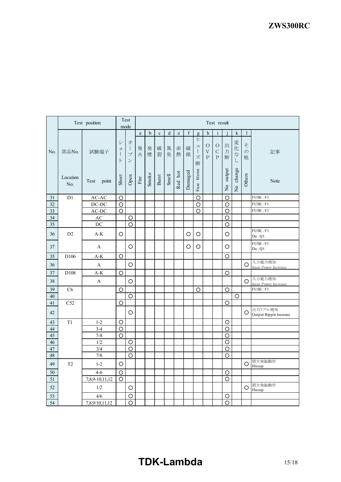#### *ZWS300R* **ZWS300RC**

|        |                 | Test position                  |                    | Test<br>mode                                        | Test result           |             |              |        |         |         |                                                          |                                                    |                                      |                         |                                   |                         |                                   |
|--------|-----------------|--------------------------------|--------------------|-----------------------------------------------------|-----------------------|-------------|--------------|--------|---------|---------|----------------------------------------------------------|----------------------------------------------------|--------------------------------------|-------------------------|-----------------------------------|-------------------------|-----------------------------------|
|        |                 |                                |                    |                                                     | a                     | $\mathbf b$ | $\mathbf{c}$ | d      | e       | f       | $\mathbf{Q}$                                             | $\mathbf h$                                        | $\mathbf{i}$                         |                         | $\mathbf k$                       | $\mathbf{1}$            |                                   |
| No.    | 部品No.           | 試験端子                           | シ<br>ヨ<br>$\vdash$ | 才<br>$\frac{1}{2}$<br>$\mathcal{I}$<br>$\checkmark$ | 発<br>火                | 発<br>煙      | 破<br>裂       | 異<br>臭 | 赤<br>熱  | 破<br>損  | E<br>$\overline{\phantom{a}}$<br>$\frac{1}{2}$<br>ズ<br>断 | $\bigcirc$<br>$\boldsymbol{\nabla}$<br>$\mathbf P$ | $\bigcirc$<br>$\mathbf C$<br>$\rm P$ | 出<br>力<br>断             | 変化<br>$\vec{z}$<br>$\overline{L}$ | そ<br>$\mathcal{O}$<br>他 | 記事                                |
|        | Location<br>No. | Test<br>point                  | Short              | Open                                                | $\operatorname{Fire}$ | Smoke       | Burst        | Smell  | Red hot | Damaged | blown<br>Fuse                                            |                                                    |                                      | output<br>$\frac{1}{2}$ | No change                         | Others                  | Note                              |
| 31     | D1              | $AC-AC$                        | $\circ$            |                                                     |                       |             |              |        |         |         | O                                                        |                                                    |                                      | $\circ$                 |                                   |                         | FUSE : F1                         |
| 32     |                 | $DC-DC$                        | $\circ$            |                                                     |                       |             |              |        |         |         | O                                                        |                                                    |                                      | $\circ$                 |                                   |                         | FUSE : F1                         |
| 33     |                 | $AC-DC$                        | O                  |                                                     |                       |             |              |        |         |         | О                                                        |                                                    |                                      | $\circ$                 |                                   |                         | FUSE : F1                         |
| 34     |                 | $\mathbf{A}\mathbf{C}$         |                    | $\circ$                                             |                       |             |              |        |         |         |                                                          |                                                    |                                      | $\circ$                 |                                   |                         |                                   |
| 35     |                 | $\rm DC$                       |                    | $\circ$                                             |                       |             |              |        |         |         |                                                          |                                                    |                                      | $\circ$                 |                                   |                         |                                   |
| 36     | D2              | $A-K$                          | $\circ$            |                                                     |                       |             |              |        |         | O       | O                                                        |                                                    |                                      | $\circ$                 |                                   |                         | FUSE : F1<br>Da:O1                |
| 37     |                 | A                              |                    | O                                                   |                       |             |              |        |         | O       | O                                                        |                                                    |                                      | O                       |                                   |                         | FUSE : F1<br>Da:Q1                |
| 35     | D106            | $\mathrm{A}\text{-}\mathrm{K}$ | $\circ$            |                                                     |                       |             |              |        |         |         |                                                          |                                                    |                                      | $\circ$                 |                                   |                         |                                   |
| 36     |                 | A                              |                    | $\circ$                                             |                       |             |              |        |         |         |                                                          |                                                    |                                      |                         |                                   | O                       | 入力電力増加<br>Input Power Increase    |
| 37     | D108            | $\mathrm{A}\text{-}\mathrm{K}$ | $\circ$            |                                                     |                       |             |              |        |         |         |                                                          |                                                    |                                      | $\circ$                 |                                   |                         |                                   |
| 38     |                 | A                              |                    | O                                                   |                       |             |              |        |         |         |                                                          |                                                    |                                      |                         |                                   | O                       | 入力電力増加<br>Input Power Increase    |
| 39     | C6              |                                | O                  |                                                     |                       |             |              |        |         |         | O                                                        |                                                    |                                      | O                       |                                   |                         | FUSE : F1                         |
| 40     |                 |                                |                    | $\circ$                                             |                       |             |              |        |         |         |                                                          |                                                    |                                      |                         | O                                 |                         |                                   |
| 41     | C52             |                                | О                  |                                                     |                       |             |              |        |         |         |                                                          |                                                    |                                      | O                       |                                   |                         |                                   |
| 42     |                 |                                |                    | O                                                   |                       |             |              |        |         |         |                                                          |                                                    |                                      |                         |                                   | O                       | 出力リプル増加<br>Output Ripple Increase |
| 43     | T1              | $1 - 2$                        | O                  |                                                     |                       |             |              |        |         |         |                                                          |                                                    |                                      | O                       |                                   |                         |                                   |
| $44\,$ |                 | $3-4$                          | $\circ$            |                                                     |                       |             |              |        |         |         |                                                          |                                                    |                                      | $\circ$                 |                                   |                         |                                   |
| 45     |                 | $7 - 8$                        | $\circ$            |                                                     |                       |             |              |        |         |         |                                                          |                                                    |                                      | $\circ$                 |                                   |                         |                                   |
| 46     |                 | 1/2                            |                    | O                                                   |                       |             |              |        |         |         |                                                          |                                                    |                                      | O                       |                                   |                         |                                   |
| $47\,$ |                 | 3/4                            |                    | O                                                   |                       |             |              |        |         |         |                                                          |                                                    |                                      | O                       |                                   |                         |                                   |
| 48     |                 | 7/8                            |                    | $\circ$                                             |                       |             |              |        |         |         |                                                          |                                                    |                                      | $\circ$                 |                                   |                         |                                   |
| 49     | T <sub>2</sub>  | $1-2$                          | O                  |                                                     |                       |             |              |        |         |         |                                                          |                                                    |                                      |                         |                                   | O                       | 間欠発振動作<br>Hiccup                  |
| 50     |                 | $4 - 6$                        | $\circ$            |                                                     |                       |             |              |        |         |         |                                                          |                                                    |                                      | O                       |                                   |                         |                                   |
| 51     |                 | 7,8,9-10,11,12                 | $\circ$            |                                                     |                       |             |              |        |         |         |                                                          |                                                    |                                      | O                       |                                   |                         |                                   |
| 52     |                 | 1/2                            |                    | O                                                   |                       |             |              |        |         |         |                                                          |                                                    |                                      |                         |                                   | O                       | 間欠発振動作<br>Hiccup                  |
| 53     |                 | 4/6                            |                    | $\circ$                                             |                       |             |              |        |         |         |                                                          |                                                    |                                      | $\circ$                 |                                   |                         |                                   |
| 54     |                 | 7,8,9/10,11,12                 |                    | O                                                   |                       |             |              |        |         |         |                                                          |                                                    |                                      | O                       |                                   |                         |                                   |

# **TDK-Lambda** 15/18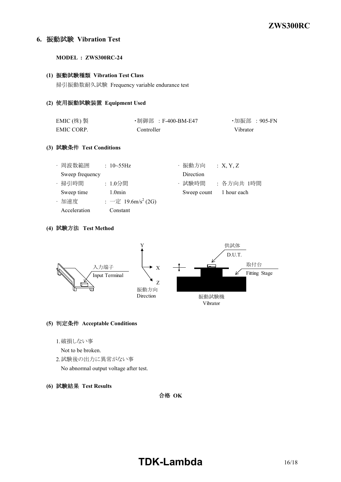### **6.** 振動試験 **Vibration Test**

**MODEL : ZWS300RC-24**

#### **(1)** 振動試験種類 **Vibration Test Class**

掃引振動数耐久試験 Frequency variable endurance test

#### **(2)** 使用振動試験装置 **Equipment Used**

| EMIC $(\nexists)$ 製 | ・制御部 :F-400-BM-E47 | ・加振部 :905-FN |
|---------------------|--------------------|--------------|
| EMIC CORP.          | Controller         | Vibrator     |

### **(3)** 試験条件 **Test Conditions**

| Sweep frequency |                                | Direction               |           |
|-----------------|--------------------------------|-------------------------|-----------|
| · 掃引時間          | : 1.0分間                        | 試験時間                    | :各方向共 1時間 |
| Sweep time      | $1.0$ min                      | Sweep count 1 hour each |           |
| ・加速度            | : 一定 19.6m/s <sup>2</sup> (2G) |                         |           |
| Acceleration    | Constant                       |                         |           |

#### **(4)** 試験方法 **Test Method**



### **(5)** 判定条件 **Acceptable Conditions**

- 1.破損しない事
- Not to be broken.
- 2.試験後の出力に異常がない事

No abnormal output voltage after test.

### **(6)** 試験結果 **Test Results**

合格 **OK**

### **TDK-Lambda** 16/18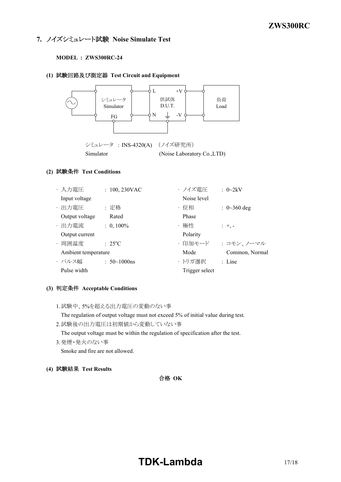### **7.** ノイズシミュレート試験 **Noise Simulate Test**

#### **MODEL : ZWS300RC-24**

### **(1)** 試験回路及び測定器 **Test Circuit and Equipment**



### **(2)** 試験条件 **Test Conditions**

| ・入力電圧               | $: 100, 230$ VAC    | ・ノイズ電圧         | : $0 \sim 2kV$            |
|---------------------|---------------------|----------------|---------------------------|
| Input voltage       |                     | Noise level    |                           |
| ・出力電圧               | : 定格                | ・位相            | $: 0 \rightarrow 360$ deg |
| Output voltage      | Rated               | Phase          |                           |
| ・出力電流               | $: 0,100\%$         | ・極性            | $: +, -$                  |
| Output current      |                     | Polarity       |                           |
| ・周囲温度               | $: 25^{\circ}C$     | ・印加モード         | : コモン、ノーマル                |
| Ambient temperature |                     | Mode           | Common, Normal            |
| ・パルス幅               | $: 50 \sim 1000$ ns | ・トリガ選択         | $:$ Line                  |
| Pulse width         |                     | Trigger select |                           |

### **(3)** 判定条件 **Acceptable Conditions**

1.試験中、5%を超える出力電圧の変動のない事

The regulation of output voltage must not exceed 5% of initial value during test.

2.試験後の出力電圧は初期値から変動していない事

The output voltage must be within the regulation of specification after the test.

3.発煙・発火のない事

Smoke and fire are not allowed.

**(4)** 試験結果 **Test Results**

### 合格 **OK**

### **TDK-Lambda** 17/18